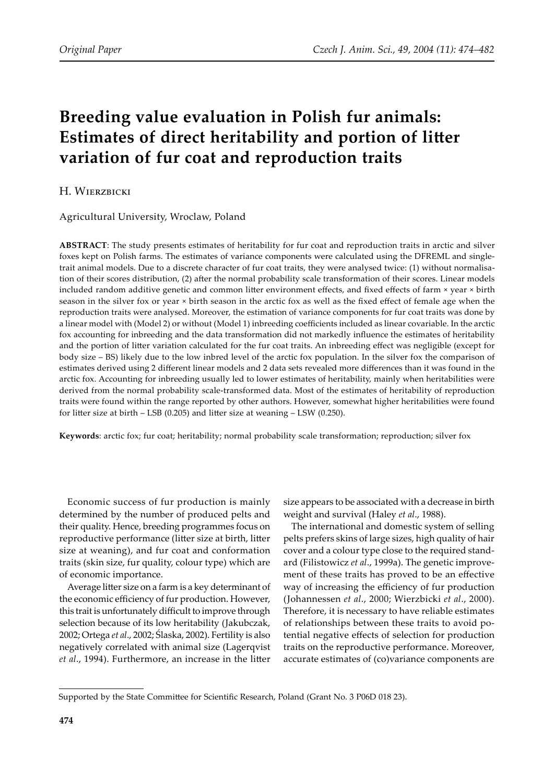# **Breeding value evaluation in Polish fur animals: Estimates of direct heritability and portion of litter variation of fur coat and reproduction traits**

## H. WIERZBICKI

Agricultural University, Wroclaw, Poland

**ABSTRACT**: The study presents estimates of heritability for fur coat and reproduction traits in arctic and silver foxes kept on Polish farms. The estimates of variance components were calculated using the DFREML and singletrait animal models. Due to a discrete character of fur coat traits, they were analysed twice: (1) without normalisation of their scores distribution, (2) after the normal probability scale transformation of their scores. Linear models included random additive genetic and common litter environment effects, and fixed effects of farm  $\times$  year  $\times$  birth season in the silver fox or year × birth season in the arctic fox as well as the fixed effect of female age when the reproduction traits were analysed. Moreover, the estimation of variance components for fur coat traits was done by a linear model with (Model 2) or without (Model 1) inbreeding coefficients included as linear covariable. In the arctic fox accounting for inbreeding and the data transformation did not markedly influence the estimates of heritability and the portion of litter variation calculated for the fur coat traits. An inbreeding effect was negligible (except for body size – BS) likely due to the low inbred level of the arctic fox population. In the silver fox the comparison of estimates derived using 2 different linear models and 2 data sets revealed more differences than it was found in the arctic fox. Accounting for inbreeding usually led to lower estimates of heritability, mainly when heritabilities were derived from the normal probability scale-transformed data. Most of the estimates of heritability of reproduction traits were found within the range reported by other authors. However, somewhat higher heritabilities were found for litter size at birth  $-$  LSB (0.205) and litter size at weaning  $-$  LSW (0.250).

**Keywords**: arctic fox; fur coat; heritability; normal probability scale transformation; reproduction; silver fox

Economic success of fur production is mainly determined by the number of produced pelts and their quality. Hence, breeding programmes focus on reproductive performance (litter size at birth, litter size at weaning), and fur coat and conformation traits (skin size, fur quality, colour type) which are of economic importance.

Average litter size on a farm is a key determinant of the economic efficiency of fur production. However, this trait is unfortunately difficult to improve through selection because of its low heritability (Jakubczak, 2002; Ortega *et al*., 2002; Ślaska, 2002). Fertility is also negatively correlated with animal size (Lagerqvist et al., 1994). Furthermore, an increase in the litter

size appears to be associated with a decrease in birth weight and survival (Haley *et al*., 1988).

The international and domestic system of selling pelts prefers skins of large sizes, high quality of hair cover and a colour type close to the required standard (Filistowicz *et al*., 1999a). The genetic improvement of these traits has proved to be an effective way of increasing the efficiency of fur production (Johannessen *et al*., 2000; Wierzbicki *et al*., 2000). Therefore, it is necessary to have reliable estimates of relationships between these traits to avoid potential negative effects of selection for production traits on the reproductive performance. Moreover, accurate estimates of (co)variance components are

Supported by the State Committee for Scientific Research, Poland (Grant No. 3 P06D 018 23).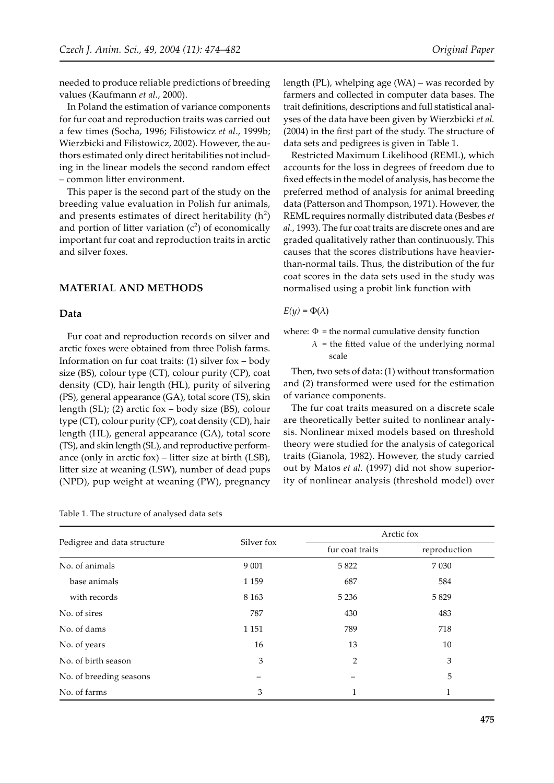needed to produce reliable predictions of breeding values (Kaufmann *et al.*, 2000).

In Poland the estimation of variance components for fur coat and reproduction traits was carried out a few times (Socha, 1996; Filistowicz *et al*., 1999b; Wierzbicki and Filistowicz, 2002). However, the authors estimated only direct heritabilities not including in the linear models the second random effect – common li�er environment.

This paper is the second part of the study on the breeding value evaluation in Polish fur animals, and presents estimates of direct heritability  $(h^2)$ and portion of litter variation  $(c^2)$  of economically important fur coat and reproduction traits in arctic and silver foxes.

#### **MATERIAL AND METHODS**

#### **Data**

Fur coat and reproduction records on silver and arctic foxes were obtained from three Polish farms. Information on fur coat traits: (1) silver fox – body size (BS), colour type (CT), colour purity (CP), coat density (CD), hair length (HL), purity of silvering (PS), general appearance (GA), total score (TS), skin length (SL); (2) arctic fox – body size (BS), colour type (CT), colour purity (CP), coat density (CD), hair length (HL), general appearance (GA), total score (TS), and skin length (SL), and reproductive performance (only in arctic fox) – litter size at birth  $(LSB)$ , litter size at weaning (LSW), number of dead pups (NPD), pup weight at weaning (PW), pregnancy

length (PL), whelping age (WA) – was recorded by farmers and collected in computer data bases. The trait definitions, descriptions and full statistical analyses of the data have been given by Wierzbicki *et al.* (2004) in the first part of the study. The structure of data sets and pedigrees is given in Table 1.

Restricted Maximum Likelihood (REML), which accounts for the loss in degrees of freedom due to fixed effects in the model of analysis, has become the preferred method of analysis for animal breeding data (Patterson and Thompson, 1971). However, the REML requires normally distributed data (Besbes *et al.*, 1993). The fur coat traits are discrete ones and are graded qualitatively rather than continuously. This causes that the scores distributions have heavierthan-normal tails. Thus, the distribution of the fur coat scores in the data sets used in the study was normalised using a probit link function with

$$
E(y) = \Phi(\lambda)
$$

where:  $\Phi$  = the normal cumulative density function

 $\lambda$  = the fitted value of the underlying normal scale

Then, two sets of data: (1) without transformation and (2) transformed were used for the estimation of variance components.

The fur coat traits measured on a discrete scale are theoretically better suited to nonlinear analysis. Nonlinear mixed models based on threshold theory were studied for the analysis of categorical traits (Gianola, 1982). However, the study carried out by Matos *et al.* (1997) did not show superiority of nonlinear analysis (threshold model) over

|                             |            | Arctic fox               |              |  |
|-----------------------------|------------|--------------------------|--------------|--|
| Pedigree and data structure | Silver fox | fur coat traits          | reproduction |  |
| No. of animals              | 9 0 0 1    | 5822                     | 7 0 3 0      |  |
| base animals                | 1 1 5 9    | 687                      | 584          |  |
| with records                | 8 1 6 3    | 5 2 3 6                  | 5829         |  |
| No. of sires                | 787        | 430                      | 483          |  |
| No. of dams                 | 1 1 5 1    | 789                      | 718          |  |
| No. of years                | 16         | 13                       | 10           |  |
| No. of birth season         | 3          | $\overline{2}$           | 3            |  |
| No. of breeding seasons     | -          | $\overline{\phantom{0}}$ | 5            |  |
| No. of farms                | 3          | 1                        |              |  |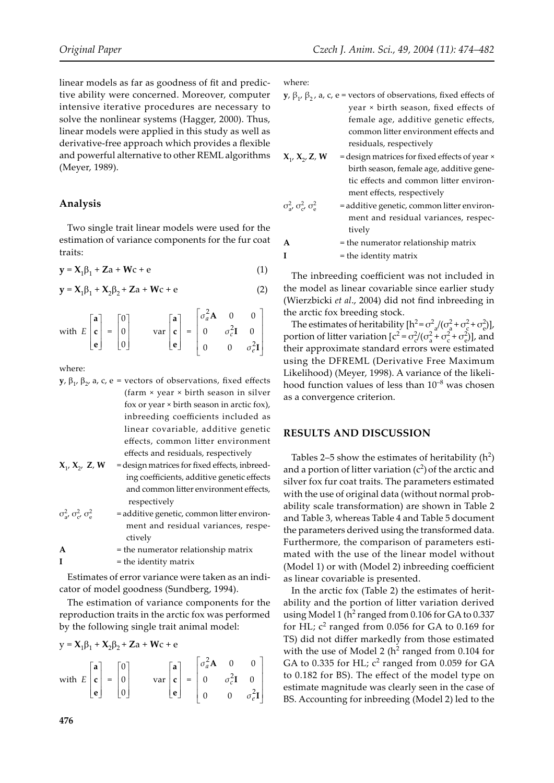linear models as far as goodness of fit and predictive ability were concerned. Moreover, computer intensive iterative procedures are necessary to solve the nonlinear systems (Hagger, 2000). Thus, linear models were applied in this study as well as derivative-free approach which provides a flexible and powerful alternative to other REML algorithms (Meyer, 1989).

#### **Analysis**

Two single trait linear models were used for the estimation of variance components for the fur coat traits:

$$
y = X_1 \beta_1 + Za + Wc + e \tag{1}
$$

$$
y = X_1 \beta_1 + X_2 \beta_2 + Za + Wc + e
$$
 (2)

with 
$$
E\begin{bmatrix} \mathbf{a} \\ \mathbf{c} \\ \mathbf{e} \end{bmatrix} = \begin{bmatrix} 0 \\ 0 \\ 0 \end{bmatrix}
$$
  $var\begin{bmatrix} \mathbf{a} \\ \mathbf{c} \\ \mathbf{e} \end{bmatrix} = \begin{bmatrix} \sigma_a^2 \mathbf{A} & 0 & 0 \\ 0 & \sigma_c^2 \mathbf{I} & 0 \\ 0 & 0 & \sigma_e^2 \mathbf{I} \end{bmatrix}$ 

where:

- **y**,  $β_1$ ,  $β_2$ , a, c, e = vectors of observations, fixed effects (farm × year × birth season in silver fox or year × birth season in arctic fox), inbreeding coefficients included as linear covariable, additive genetic effects, common litter environment effects and residuals, respectively
- $X_1, X_2, Z, W$  = design matrices for fixed effects, inbreed ing coefficients, additive genetic effects and common litter environment effects, respectively
- $\sigma_{a}^{2}$ ,  $\sigma_{c}^{2}$ ,  $\sigma_{e}^{2}$ = additive genetic, common litter environ ment and residual variances, respe ctively

**A** = the numerator relationship matrix  $I =$  the identity matrix

Estimates of error variance were taken as an indicator of model goodness (Sundberg, 1994).

The estimation of variance components for the reproduction traits in the arctic fox was performed by the following single trait animal model:

 $\overline{\phantom{a}}$ 

L

 $\begin{bmatrix} 0 & 0 \\ 0 & 0 \end{bmatrix}$ 

 $\overline{\phantom{a}}$  $\overline{\phantom{a}}$  $\overline{\phantom{a}}$  $\overline{\phantom{a}}$ 

 $\overline{\phantom{a}}$ 

 $\theta$ 

 $\sigma_e^2 \mathbf{I}$ 

 $\lfloor e \rfloor$ 

**e**

$$
y = X_1 \beta_1 + X_2 \beta_2 + Za + Wc + e
$$
  
with  $E \begin{bmatrix} a \\ c \end{bmatrix} = \begin{bmatrix} 0 \\ 0 \end{bmatrix}$   $var \begin{bmatrix} a \\ c \end{bmatrix} = \begin{bmatrix} \sigma_a^2 A & 0 & 0 \\ 0 & \sigma_c^2 I & 0 \end{bmatrix}$ 

 $\overline{\phantom{a}}$ 

 $\lfloor 0 \rfloor$ 

0

where:

- **y**,  $\beta_1$ ,  $\beta_2$ , a, c, e = vectors of observations, fixed effects of year × birth season, fixed effects of female age, additive genetic effects, common litter environment effects and residuals, respectively
- $X_1$ ,  $X_2$ ,  $Z$ ,  $W$  = design matrices for fixed effects of year  $\times$ birth season, female age, additive gene tic effects and common litter environment effects, respectively
- $\sigma_{a}^2$ ,  $\sigma_{c}^2$ ,  $\sigma_{e}^2$ = additive genetic, common litter environ ment and residual variances, respec tively
- **A** = the numerator relationship matrix

 $I =$  the identity matrix

The inbreeding coefficient was not included in the model as linear covariable since earlier study (Wierzbicki *et al*., 2004) did not find inbreeding in the arctic fox breeding stock.

The estimates of heritability  $[h^2 = \sigma_a^2/(\sigma_a^2 + \sigma_c^2 + \sigma_e^2)]$ , portion of litter variation  $[c^2 = \sigma_c^2/(\sigma_a^2 + \sigma_c^2 + \sigma_e^2)]$ , and their approximate standard errors were estimated using the DFREML (Derivative Free Maximum Likelihood) (Meyer, 1998). A variance of the likelihood function values of less than  $10^{-8}$  was chosen as a convergence criterion.

#### **RESULTS AND DISCUSSION**

Tables 2–5 show the estimates of heritability  $(h^2)$ and a portion of litter variation  $(c^2)$  of the arctic and silver fox fur coat traits. The parameters estimated with the use of original data (without normal probability scale transformation) are shown in Table 2 and Table 3, whereas Table 4 and Table 5 document the parameters derived using the transformed data. Furthermore, the comparison of parameters estimated with the use of the linear model without (Model 1) or with (Model 2) inbreeding coefficient as linear covariable is presented.

In the arctic fox (Table 2) the estimates of heritability and the portion of litter variation derived using Model 1 ( $h^2$  ranged from 0.106 for GA to 0.337 for HL;  $c^2$  ranged from 0.056 for GA to 0.169 for TS) did not differ markedly from those estimated with the use of Model 2 ( $h^2$  ranged from 0.104 for GA to 0.335 for HL;  $c^2$  ranged from 0.059 for GA to 0.182 for BS). The effect of the model type on estimate magnitude was clearly seen in the case of BS. Accounting for inbreeding (Model 2) led to the

 $\overline{\phantom{a}}$ 

L

**e**

L

J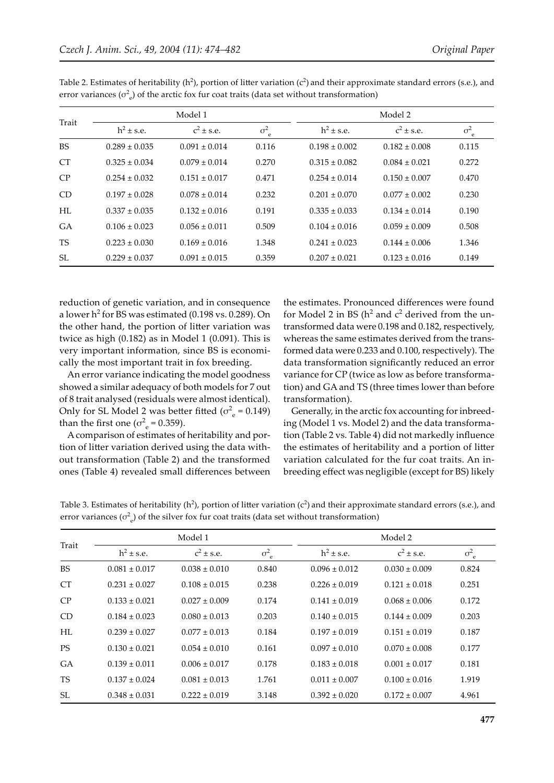| Trait           | Model 1           |                   |                          | Model 2           |                   |                  |
|-----------------|-------------------|-------------------|--------------------------|-------------------|-------------------|------------------|
|                 | $h^2 \pm s.e.$    | $c^2 \pm s.e.$    | $\sigma^2$<br>$\epsilon$ | $h^2 \pm s.e.$    | $c^2 \pm s.e.$    | $\sigma^2_{\ e}$ |
| <b>BS</b>       | $0.289 \pm 0.035$ | $0.091 \pm 0.014$ | 0.116                    | $0.198 \pm 0.002$ | $0.182 \pm 0.008$ | 0.115            |
| CT <sup>-</sup> | $0.325 \pm 0.034$ | $0.079 \pm 0.014$ | 0.270                    | $0.315 \pm 0.082$ | $0.084 \pm 0.021$ | 0.272            |
| CP              | $0.254 \pm 0.032$ | $0.151 \pm 0.017$ | 0.471                    | $0.254 \pm 0.014$ | $0.150 \pm 0.007$ | 0.470            |
| CD              | $0.197 + 0.028$   | $0.078 + 0.014$   | 0.232                    | $0.201 + 0.070$   | $0.077 + 0.002$   | 0.230            |
| HL              | $0.337 \pm 0.035$ | $0.132 \pm 0.016$ | 0.191                    | $0.335 \pm 0.033$ | $0.134 \pm 0.014$ | 0.190            |
| GA              | $0.106 \pm 0.023$ | $0.056 \pm 0.011$ | 0.509                    | $0.104 \pm 0.016$ | $0.059 \pm 0.009$ | 0.508            |
| <b>TS</b>       | $0.223 \pm 0.030$ | $0.169 \pm 0.016$ | 1.348                    | $0.241 \pm 0.023$ | $0.144 \pm 0.006$ | 1.346            |
| SL.             | $0.229 \pm 0.037$ | $0.091 \pm 0.015$ | 0.359                    | $0.207 \pm 0.021$ | $0.123 \pm 0.016$ | 0.149            |

Table 2. Estimates of heritability ( $h^2$ ), portion of litter variation ( $c^2$ ) and their approximate standard errors (s.e.), and error variances ( $\sigma_e^2$ ) of the arctic fox fur coat traits (data set without transformation)

reduction of genetic variation, and in consequence a lower  $h^2$  for BS was estimated (0.198 vs. 0.289). On the other hand, the portion of litter variation was twice as high  $(0.182)$  as in Model 1  $(0.091)$ . This is very important information, since BS is economically the most important trait in fox breeding.

An error variance indicating the model goodness showed a similar adequacy of both models for 7 out of 8 trait analysed (residuals were almost identical). Only for SL Model 2 was better fitted ( $\sigma_e^2$  = 0.149) than the first one ( $\sigma_e^2$  = 0.359).

A comparison of estimates of heritability and portion of litter variation derived using the data without transformation (Table 2) and the transformed ones (Table 4) revealed small differences between the estimates. Pronounced differences were found for Model 2 in BS ( $h^2$  and  $c^2$  derived from the untransformed data were 0.198 and 0.182, respectively, whereas the same estimates derived from the transformed data were 0.233 and 0.100, respectively). The data transformation significantly reduced an error variance for CP (twice as low as before transformation) and GA and TS (three times lower than before transformation).

Generally, in the arctic fox accounting for inbreeding (Model 1 vs. Model 2) and the data transformation (Table 2 vs. Table 4) did not markedly influence the estimates of heritability and a portion of litter variation calculated for the fur coat traits. An inbreeding effect was negligible (except for BS) likely

Table 3. Estimates of heritability ( $h^2$ ), portion of litter variation ( $c^2$ ) and their approximate standard errors (s.e.), and error variances ( $\sigma_e^2$ ) of the silver fox fur coat traits (data set without transformation)

|           | Model 1           |                   |                          | Model 2           |                   |                    |
|-----------|-------------------|-------------------|--------------------------|-------------------|-------------------|--------------------|
| Trait     | $h^2 \pm s.e.$    | $c^2 \pm s.e.$    | $\sigma^2$<br>$\epsilon$ | $h^2 \pm s.e.$    | $c^2 \pm s.e.$    | $\sigma^2_{\rm e}$ |
| <b>BS</b> | $0.081 \pm 0.017$ | $0.038 \pm 0.010$ | 0.840                    | $0.096 \pm 0.012$ | $0.030 \pm 0.009$ | 0.824              |
| <b>CT</b> | $0.231 \pm 0.027$ | $0.108 \pm 0.015$ | 0.238                    | $0.226 \pm 0.019$ | $0.121 \pm 0.018$ | 0.251              |
| CP        | $0.133 + 0.021$   | $0.027 \pm 0.009$ | 0.174                    | $0.141 + 0.019$   | $0.068 \pm 0.006$ | 0.172              |
| CD        | $0.184 \pm 0.023$ | $0.080 \pm 0.013$ | 0.203                    | $0.140 \pm 0.015$ | $0.144 \pm 0.009$ | 0.203              |
| HL        | $0.239 \pm 0.027$ | $0.077 \pm 0.013$ | 0.184                    | $0.197 \pm 0.019$ | $0.151 \pm 0.019$ | 0.187              |
| <b>PS</b> | $0.130 \pm 0.021$ | $0.054 \pm 0.010$ | 0.161                    | $0.097 \pm 0.010$ | $0.070 \pm 0.008$ | 0.177              |
| GA        | $0.139 \pm 0.011$ | $0.006 \pm 0.017$ | 0.178                    | $0.183 \pm 0.018$ | $0.001 \pm 0.017$ | 0.181              |
| <b>TS</b> | $0.137 \pm 0.024$ | $0.081 \pm 0.013$ | 1.761                    | $0.011 \pm 0.007$ | $0.100 \pm 0.016$ | 1.919              |
| <b>SL</b> | $0.348 \pm 0.031$ | $0.222 \pm 0.019$ | 3.148                    | $0.392 \pm 0.020$ | $0.172 \pm 0.007$ | 4.961              |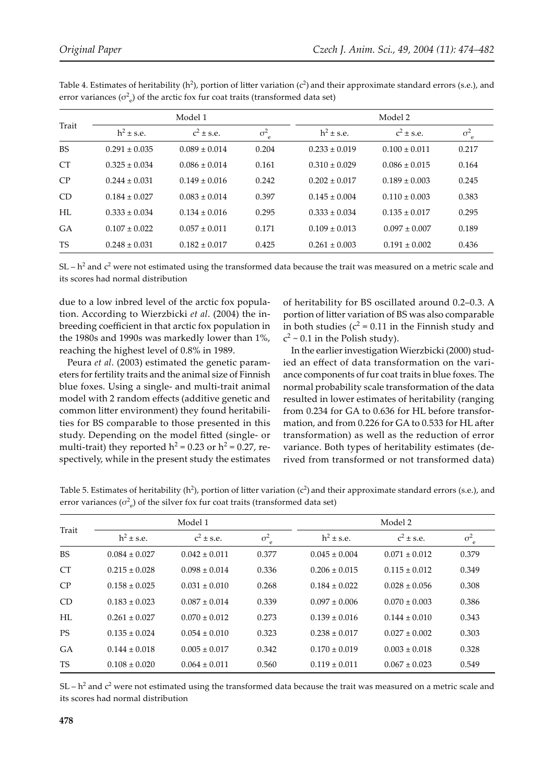| Trait     |                   | Model 1           |                 |                   | Model 2           |                 |  |
|-----------|-------------------|-------------------|-----------------|-------------------|-------------------|-----------------|--|
|           | $h^2 \pm s.e.$    | $c^2 \pm s.e.$    | $\sigma^2$<br>e | $h^2 \pm s.e.$    | $c^2 \pm s.e.$    | $\sigma^2$<br>e |  |
| <b>BS</b> | $0.291 \pm 0.035$ | $0.089 \pm 0.014$ | 0.204           | $0.233 \pm 0.019$ | $0.100 \pm 0.011$ | 0.217           |  |
| <b>CT</b> | $0.325 \pm 0.034$ | $0.086 \pm 0.014$ | 0.161           | $0.310 \pm 0.029$ | $0.086 \pm 0.015$ | 0.164           |  |
| CP        | $0.244 \pm 0.031$ | $0.149 \pm 0.016$ | 0.242           | $0.202 \pm 0.017$ | $0.189 \pm 0.003$ | 0.245           |  |
| CD        | $0.184 \pm 0.027$ | $0.083 \pm 0.014$ | 0.397           | $0.145 \pm 0.004$ | $0.110 \pm 0.003$ | 0.383           |  |
| HL        | $0.333 \pm 0.034$ | $0.134 \pm 0.016$ | 0.295           | $0.333 \pm 0.034$ | $0.135 \pm 0.017$ | 0.295           |  |
| GA        | $0.107 \pm 0.022$ | $0.057 \pm 0.011$ | 0.171           | $0.109 \pm 0.013$ | $0.097 \pm 0.007$ | 0.189           |  |
| <b>TS</b> | $0.248 \pm 0.031$ | $0.182 \pm 0.017$ | 0.425           | $0.261 \pm 0.003$ | $0.191 \pm 0.002$ | 0.436           |  |

Table 4. Estimates of heritability ( $h^2$ ), portion of litter variation ( $c^2$ ) and their approximate standard errors (s.e.), and error variances ( $\sigma_e^2$ ) of the arctic fox fur coat traits (transformed data set)

SL –  $h^2$  and  $c^2$  were not estimated using the transformed data because the trait was measured on a metric scale and its scores had normal distribution

due to a low inbred level of the arctic fox population. According to Wierzbicki *et al*. (2004) the inbreeding coefficient in that arctic fox population in the 1980s and 1990s was markedly lower than 1%, reaching the highest level of 0.8% in 1989.

Peura *et al*. (2003) estimated the genetic parameters for fertility traits and the animal size of Finnish blue foxes. Using a single- and multi-trait animal model with 2 random effects (additive genetic and common litter environment) they found heritabilities for BS comparable to those presented in this study. Depending on the model fitted (single- or multi-trait) they reported  $h^2 = 0.23$  or  $h^2 = 0.27$ , respectively, while in the present study the estimates of heritability for BS oscillated around 0.2–0.3. A portion of litter variation of BS was also comparable in both studies ( $c^2$  = 0.11 in the Finnish study and  $c^2$  ~ 0.1 in the Polish study).

In the earlier investigation Wierzbicki (2000) studied an effect of data transformation on the variance components of fur coat traits in blue foxes. The normal probability scale transformation of the data resulted in lower estimates of heritability (ranging from 0.234 for GA to 0.636 for HL before transformation, and from 0.226 for GA to 0.533 for HL after transformation) as well as the reduction of error variance. Both types of heritability estimates (derived from transformed or not transformed data)

| Trait     |                   | Model 1           |                            |                   | Model 2           |                    |  |
|-----------|-------------------|-------------------|----------------------------|-------------------|-------------------|--------------------|--|
|           | $h^2 \pm s.e.$    | $c^2 \pm s.e.$    | $\sigma^2$<br>$\mathbf{e}$ | $h^2 \pm s.e.$    | $c^2 \pm s.e.$    | $\sigma^2_{\rm e}$ |  |
| <b>BS</b> | $0.084 \pm 0.027$ | $0.042 \pm 0.011$ | 0.377                      | $0.045 \pm 0.004$ | $0.071 \pm 0.012$ | 0.379              |  |
| <b>CT</b> | $0.215 \pm 0.028$ | $0.098 \pm 0.014$ | 0.336                      | $0.206 \pm 0.015$ | $0.115 \pm 0.012$ | 0.349              |  |
| CP        | $0.158 \pm 0.025$ | $0.031 \pm 0.010$ | 0.268                      | $0.184 \pm 0.022$ | $0.028 \pm 0.056$ | 0.308              |  |
| CD        | $0.183 \pm 0.023$ | $0.087 \pm 0.014$ | 0.339                      | $0.097 \pm 0.006$ | $0.070 \pm 0.003$ | 0.386              |  |
| HL        | $0.261 \pm 0.027$ | $0.070 \pm 0.012$ | 0.273                      | $0.139 \pm 0.016$ | $0.144 \pm 0.010$ | 0.343              |  |
| <b>PS</b> | $0.135 \pm 0.024$ | $0.054 \pm 0.010$ | 0.323                      | $0.238 \pm 0.017$ | $0.027 \pm 0.002$ | 0.303              |  |
| <b>GA</b> | $0.144 \pm 0.018$ | $0.005 \pm 0.017$ | 0.342                      | $0.170 \pm 0.019$ | $0.003 \pm 0.018$ | 0.328              |  |
| <b>TS</b> | $0.108 \pm 0.020$ | $0.064 \pm 0.011$ | 0.560                      | $0.119 \pm 0.011$ | $0.067 \pm 0.023$ | 0.549              |  |

Table 5. Estimates of heritability ( $h^2$ ), portion of litter variation ( $c^2$ ) and their approximate standard errors (s.e.), and error variances ( $\sigma_e^2$ ) of the silver fox fur coat traits (transformed data set)

SL –  $h^2$  and  $c^2$  were not estimated using the transformed data because the trait was measured on a metric scale and its scores had normal distribution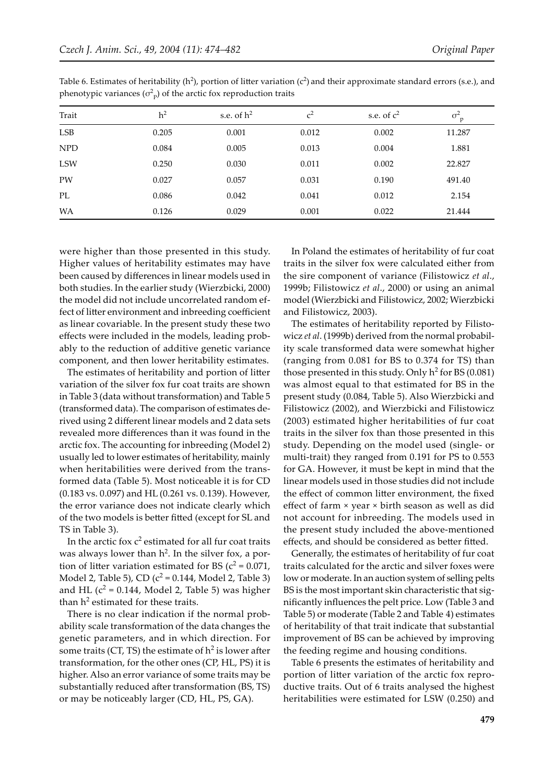| Trait      | h <sup>2</sup> | s.e. of $h^2$ | c <sup>2</sup> | s.e. of $c^2$ | $\sigma^2$<br>p |
|------------|----------------|---------------|----------------|---------------|-----------------|
| LSB        | 0.205          | 0.001         | 0.012          | 0.002         | 11.287          |
| <b>NPD</b> | 0.084          | 0.005         | 0.013          | 0.004         | 1.881           |
| <b>LSW</b> | 0.250          | 0.030         | 0.011          | 0.002         | 22.827          |
| PW         | 0.027          | 0.057         | 0.031          | 0.190         | 491.40          |
| PL         | 0.086          | 0.042         | 0.041          | 0.012         | 2.154           |
| <b>WA</b>  | 0.126          | 0.029         | 0.001          | 0.022         | 21.444          |

Table 6. Estimates of heritability ( $h^2$ ), portion of litter variation ( $c^2$ ) and their approximate standard errors (s.e.), and phenotypic variances  $(\sigma_P^2)$  of the arctic fox reproduction traits

were higher than those presented in this study. Higher values of heritability estimates may have been caused by differences in linear models used in both studies. In the earlier study (Wierzbicki, 2000) the model did not include uncorrelated random effect of litter environment and inbreeding coefficient as linear covariable. In the present study these two effects were included in the models, leading probably to the reduction of additive genetic variance component, and then lower heritability estimates.

The estimates of heritability and portion of litter variation of the silver fox fur coat traits are shown in Table 3 (data without transformation) and Table 5 (transformed data). The comparison of estimates derived using 2 different linear models and 2 data sets revealed more differences than it was found in the arctic fox. The accounting for inbreeding (Model 2) usually led to lower estimates of heritability, mainly when heritabilities were derived from the transformed data (Table 5). Most noticeable it is for CD (0.183 vs. 0.097) and HL (0.261 vs. 0.139). However, the error variance does not indicate clearly which of the two models is better fitted (except for SL and TS in Table 3).

In the arctic fox  $c^2$  estimated for all fur coat traits was always lower than  $h^2$ . In the silver fox, a portion of litter variation estimated for BS ( $c^2$  = 0.071, Model 2, Table 5), CD  $(c^2 = 0.144$ , Model 2, Table 3) and HL  $(c^2 = 0.144$ , Model 2, Table 5) was higher than  $h^2$  estimated for these traits.

There is no clear indication if the normal probability scale transformation of the data changes the genetic parameters, and in which direction. For some traits (CT, TS) the estimate of  $h^2$  is lower after transformation, for the other ones (CP, HL, PS) it is higher. Also an error variance of some traits may be substantially reduced after transformation (BS, TS) or may be noticeably larger (CD, HL, PS, GA).

In Poland the estimates of heritability of fur coat traits in the silver fox were calculated either from the sire component of variance (Filistowicz *et al*., 1999b; Filistowicz *et al*., 2000) or using an animal model (Wierzbicki and Filistowicz, 2002; Wierzbicki and Filistowicz, 2003).

The estimates of heritability reported by Filistowicz *et al*. (1999b) derived from the normal probability scale transformed data were somewhat higher (ranging from 0.081 for BS to 0.374 for TS) than those presented in this study. Only  $h^2$  for BS (0.081) was almost equal to that estimated for BS in the present study (0.084, Table 5). Also Wierzbicki and Filistowicz (2002), and Wierzbicki and Filistowicz (2003) estimated higher heritabilities of fur coat traits in the silver fox than those presented in this study. Depending on the model used (single- or multi-trait) they ranged from 0.191 for PS to 0.553 for GA. However, it must be kept in mind that the linear models used in those studies did not include the effect of common litter environment, the fixed effect of farm × year × birth season as well as did not account for inbreeding. The models used in the present study included the above-mentioned effects, and should be considered as better fitted.

Generally, the estimates of heritability of fur coat traits calculated for the arctic and silver foxes were low or moderate. In an auction system of selling pelts BS is the most important skin characteristic that significantly influences the pelt price. Low (Table 3 and Table 5) or moderate (Table 2 and Table 4) estimates of heritability of that trait indicate that substantial improvement of BS can be achieved by improving the feeding regime and housing conditions.

Table 6 presents the estimates of heritability and portion of litter variation of the arctic fox reproductive traits. Out of 6 traits analysed the highest heritabilities were estimated for LSW (0.250) and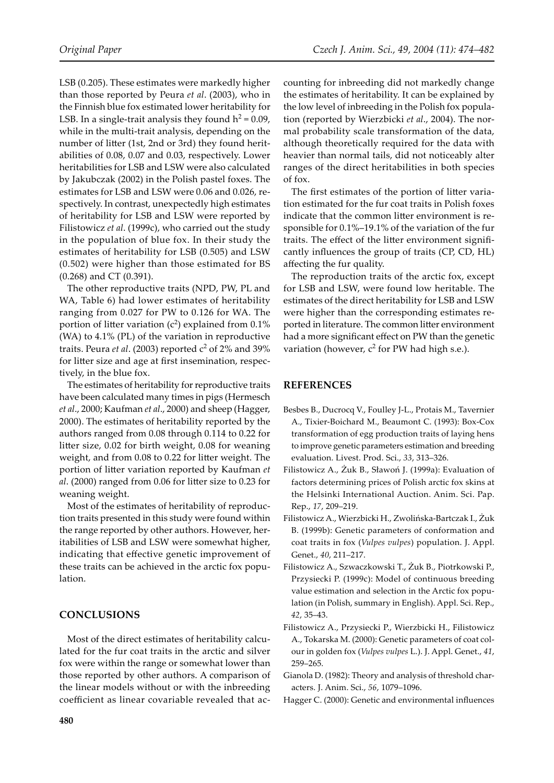LSB (0.205). These estimates were markedly higher than those reported by Peura *et al*. (2003), who in the Finnish blue fox estimated lower heritability for LSB. In a single-trait analysis they found  $h^2 = 0.09$ , while in the multi-trait analysis, depending on the number of litter (1st, 2nd or 3rd) they found heritabilities of 0.08, 0.07 and 0.03, respectively. Lower heritabilities for LSB and LSW were also calculated by Jakubczak (2002) in the Polish pastel foxes. The estimates for LSB and LSW were 0.06 and 0.026, respectively. In contrast, unexpectedly high estimates of heritability for LSB and LSW were reported by Filistowicz *et al*. (1999c), who carried out the study in the population of blue fox. In their study the estimates of heritability for LSB (0.505) and LSW (0.502) were higher than those estimated for BS (0.268) and CT (0.391).

The other reproductive traits (NPD, PW, PL and WA, Table 6) had lower estimates of heritability ranging from 0.027 for PW to 0.126 for WA. The portion of litter variation  $(c^2)$  explained from 0.1% (WA) to 4.1% (PL) of the variation in reproductive traits. Peura *et al.* (2003) reported c<sup>2</sup> of 2% and 39% for litter size and age at first insemination, respectively, in the blue fox.

The estimates of heritability for reproductive traits have been calculated many times in pigs (Hermesch *et al*., 2000; Kaufman *et al*., 2000) and sheep (Hagger, 2000). The estimates of heritability reported by the authors ranged from 0.08 through 0.114 to 0.22 for litter size, 0.02 for birth weight, 0.08 for weaning weight, and from 0.08 to 0.22 for litter weight. The portion of litter variation reported by Kaufman *et al*. (2000) ranged from 0.06 for litter size to 0.23 for weaning weight.

Most of the estimates of heritability of reproduction traits presented in this study were found within the range reported by other authors. However, heritabilities of LSB and LSW were somewhat higher, indicating that effective genetic improvement of these traits can be achieved in the arctic fox population.

#### **CONCLUSIONS**

Most of the direct estimates of heritability calculated for the fur coat traits in the arctic and silver fox were within the range or somewhat lower than those reported by other authors. A comparison of the linear models without or with the inbreeding coefficient as linear covariable revealed that ac-

counting for inbreeding did not markedly change the estimates of heritability. It can be explained by the low level of inbreeding in the Polish fox population (reported by Wierzbicki *et al*., 2004). The normal probability scale transformation of the data, although theoretically required for the data with heavier than normal tails, did not noticeably alter ranges of the direct heritabilities in both species of fox.

The first estimates of the portion of litter variation estimated for the fur coat traits in Polish foxes indicate that the common litter environment is responsible for 0.1%–19.1% of the variation of the fur traits. The effect of the litter environment significantly influences the group of traits (CP, CD, HL) affecting the fur quality.

The reproduction traits of the arctic fox, except for LSB and LSW, were found low heritable. The estimates of the direct heritability for LSB and LSW were higher than the corresponding estimates reported in literature. The common litter environment had a more significant effect on PW than the genetic variation (however,  $c^2$  for PW had high s.e.).

#### **REFERENCES**

- Besbes B., Ducrocq V., Foulley J-L., Protais M., Tavernier A., Tixier-Boichard M., Beaumont C. (1993): Box-Cox transformation of egg production traits of laying hens to improve genetic parameters estimation and breeding evaluation. Livest. Prod. Sci., *33*, 313–326.
- Filistowicz A., Żuk B., Sławoń J. (1999a): Evaluation of factors determining prices of Polish arctic fox skins at the Helsinki International Auction. Anim. Sci. Pap. Rep., *17*, 209–219.
- Filistowicz A., Wierzbicki H., Zwolińska-Bartczak I., Żuk B. (1999b): Genetic parameters of conformation and coat traits in fox (*Vulpes vulpes*) population. J. Appl. Genet., *40*, 211–217.
- Filistowicz A., Szwaczkowski T., Żuk B., Piotrkowski P., Przysiecki P. (1999c): Model of continuous breeding value estimation and selection in the Arctic fox population (in Polish, summary in English). Appl. Sci. Rep., *42*, 35–43.
- Filistowicz A., Przysiecki P., Wierzbicki H., Filistowicz A., Tokarska M. (2000): Genetic parameters of coat colour in golden fox (*Vulpes vulpes* L.). J. Appl. Genet., *41*, 259–265.
- Gianola D. (1982): Theory and analysis of threshold characters. J. Anim. Sci., *56*, 1079–1096.
- Hagger C. (2000): Genetic and environmental influences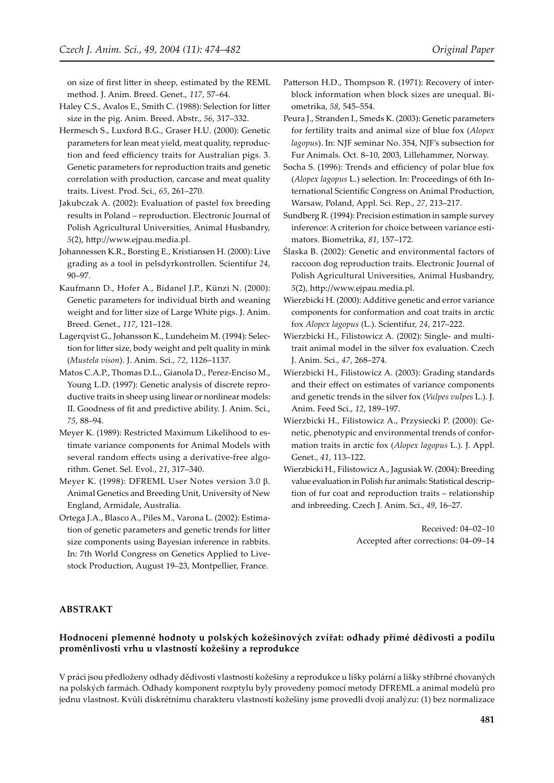on size of first litter in sheep, estimated by the REML method. J. Anim. Breed. Genet., *117*, 57–64.

- Haley C.S., Avalos E., Smith C. (1988): Selection for litter size in the pig. Anim. Breed. Abstr., *56*, 317–332.
- Hermesch S., Luxford B.G., Graser H.U. (2000): Genetic parameters for lean meat yield, meat quality, reproduction and feed efficiency traits for Australian pigs. 3. Genetic parameters for reproduction traits and genetic correlation with production, carcase and meat quality traits. Livest. Prod. Sci., *65*, 261–270.
- Jakubczak A. (2002): Evaluation of pastel fox breeding results in Poland – reproduction. Electronic Journal of Polish Agricultural Universities, Animal Husbandry, *5*(2), h�p://www.ejpau.media.pl.
- Johannessen K.R., Borsting E., Kristiansen H. (2000): Live grading as a tool in pelsdyrkontrollen. Scientifur *24*, 90–97.
- Kaufmann D., Hofer A., Bidanel J.P., Künzi N. (2000): Genetic parameters for individual birth and weaning weight and for litter size of Large White pigs. J. Anim. Breed. Genet., *117*, 121–128.
- Lagerqvist G., Johansson K., Lundeheim M. (1994): Selection for litter size, body weight and pelt quality in mink (*Mustela vison*). J. Anim. Sci., *72*, 1126–1137.
- Matos C.A.P., Thomas D.L., Gianola D., Perez-Enciso M., Young L.D. (1997): Genetic analysis of discrete reproductive traits in sheep using linear or nonlinear models: II. Goodness of fit and predictive ability. J. Anim. Sci., *75*, 88–94.
- Meyer K. (1989): Restricted Maximum Likelihood to estimate variance components for Animal Models with several random effects using a derivative-free algorithm. Genet. Sel. Evol., *21*, 317–340.
- Meyer K. (1998): DFREML User Notes version 3.0 β. Animal Genetics and Breeding Unit, University of New England, Armidale, Australia.
- Ortega J.A., Blasco A., Piles M., Varona L. (2002): Estimation of genetic parameters and genetic trends for litter size components using Bayesian inference in rabbits. In: 7th World Congress on Genetics Applied to Livestock Production, August 19–23, Montpellier, France.
- Patterson H.D., Thompson R. (1971): Recovery of interblock information when block sizes are unequal. Biometrika, *58*, 545–554.
- Peura J., Stranden I., Smeds K. (2003): Genetic parameters for fertility traits and animal size of blue fox (*Alopex lagopus*). In: NJF seminar No. 354, NJF's subsection for Fur Animals. Oct. 8–10, 2003, Lillehammer, Norway.
- Socha S. (1996): Trends and efficiency of polar blue fox (*Alopex lagopus* L.) selection. In: Proceedings of 6th International Scientific Congress on Animal Production, Warsaw, Poland, Appl. Sci. Rep., *27*, 213–217.
- Sundberg R. (1994): Precision estimation in sample survey inference: A criterion for choice between variance estimators. Biometrika, *81*, 157–172.
- Ślaska B. (2002): Genetic and environmental factors of raccoon dog reproduction traits. Electronic Journal of Polish Agricultural Universities, Animal Husbandry, *5*(2), h�p://www.ejpau.media.pl.
- Wierzbicki H. (2000): Additive genetic and error variance components for conformation and coat traits in arctic fox *Alopex lagopus* (L.). Scientifur, *24*, 217–222.
- Wierzbicki H., Filistowicz A. (2002): Single- and multitrait animal model in the silver fox evaluation. Czech J. Anim. Sci., *47*, 268–274.
- Wierzbicki H., Filistowicz A. (2003): Grading standards and their effect on estimates of variance components and genetic trends in the silver fox (*Vulpes vulpes* L.). J. Anim. Feed Sci., *12*, 189–197.
- Wierzbicki H., Filistowicz A., Przysiecki P. (2000): Genetic, phenotypic and environmental trends of conformation traits in arctic fox (*Alopex lagopus* L.). J. Appl. Genet., *41*, 113–122.
- Wierzbicki H., Filistowicz A., Jagusiak W. (2004): Breeding value evaluation in Polish fur animals: Statistical description of fur coat and reproduction traits – relationship and inbreeding. Czech J. Anim. Sci., *49*, 16–27.

Received: 04–02–10 Accepted after corrections: 04-09-14

#### **ABSTRAKT**

### **Hodnocení plemenné hodnoty u polských kožešinových zvířat: odhady přímé dědivosti a podílu proměnlivosti vrhu u vlastností kožešiny a reprodukce**

V práci jsou předloženy odhady dědivosti vlastností kožešiny a reprodukce u lišky polární a lišky stříbrné chovaných na polských farmách. Odhady komponent rozptylu byly provedeny pomocí metody DFREML a animal modelů pro jednu vlastnost. Kvůli diskrétnímu charakteru vlastností kožešiny jsme provedli dvojí analýzu: (1) bez normalizace